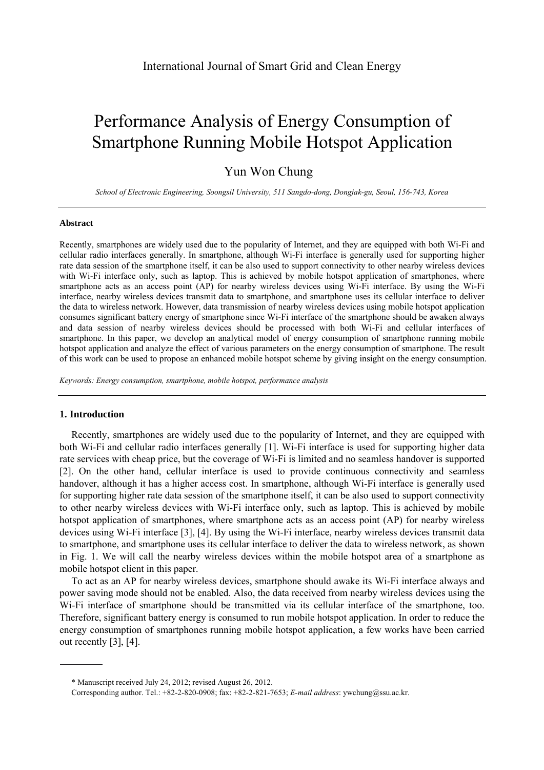# Performance Analysis of Energy Consumption of Smartphone Running Mobile Hotspot Application

# Yun Won Chung

*School of Electronic Engineering, Soongsil University, 511 Sangdo-dong, Dongjak-gu, Seoul, 156-743, Korea* 

#### **Abstract**

Recently, smartphones are widely used due to the popularity of Internet, and they are equipped with both Wi-Fi and cellular radio interfaces generally. In smartphone, although Wi-Fi interface is generally used for supporting higher rate data session of the smartphone itself, it can be also used to support connectivity to other nearby wireless devices with Wi-Fi interface only, such as laptop. This is achieved by mobile hotspot application of smartphones, where smartphone acts as an access point (AP) for nearby wireless devices using Wi-Fi interface. By using the Wi-Fi interface, nearby wireless devices transmit data to smartphone, and smartphone uses its cellular interface to deliver the data to wireless network. However, data transmission of nearby wireless devices using mobile hotspot application consumes significant battery energy of smartphone since Wi-Fi interface of the smartphone should be awaken always and data session of nearby wireless devices should be processed with both Wi-Fi and cellular interfaces of smartphone. In this paper, we develop an analytical model of energy consumption of smartphone running mobile hotspot application and analyze the effect of various parameters on the energy consumption of smartphone. The result of this work can be used to propose an enhanced mobile hotspot scheme by giving insight on the energy consumption.

*Keywords: Energy consumption, smartphone, mobile hotspot, performance analysis* 

# **1. Introduction**

Recently, smartphones are widely used due to the popularity of Internet, and they are equipped with both Wi-Fi and cellular radio interfaces generally [1]. Wi-Fi interface is used for supporting higher data rate services with cheap price, but the coverage of Wi-Fi is limited and no seamless handover is supported [2]. On the other hand, cellular interface is used to provide continuous connectivity and seamless handover, although it has a higher access cost. In smartphone, although Wi-Fi interface is generally used for supporting higher rate data session of the smartphone itself, it can be also used to support connectivity to other nearby wireless devices with Wi-Fi interface only, such as laptop. This is achieved by mobile hotspot application of smartphones, where smartphone acts as an access point (AP) for nearby wireless devices using Wi-Fi interface [3], [4]. By using the Wi-Fi interface, nearby wireless devices transmit data to smartphone, and smartphone uses its cellular interface to deliver the data to wireless network, as shown in Fig. 1. We will call the nearby wireless devices within the mobile hotspot area of a smartphone as mobile hotspot client in this paper.

To act as an AP for nearby wireless devices, smartphone should awake its Wi-Fi interface always and power saving mode should not be enabled. Also, the data received from nearby wireless devices using the Wi-Fi interface of smartphone should be transmitted via its cellular interface of the smartphone, too. Therefore, significant battery energy is consumed to run mobile hotspot application. In order to reduce the energy consumption of smartphones running mobile hotspot application, a few works have been carried out recently [3], [4].

<sup>\*</sup> Manuscript received July 24, 2012; revised August 26, 2012.

Corresponding author. Tel.: +82-2-820-0908; fax: +82-2-821-7653; *E-mail address*: ywchung@ssu.ac.kr.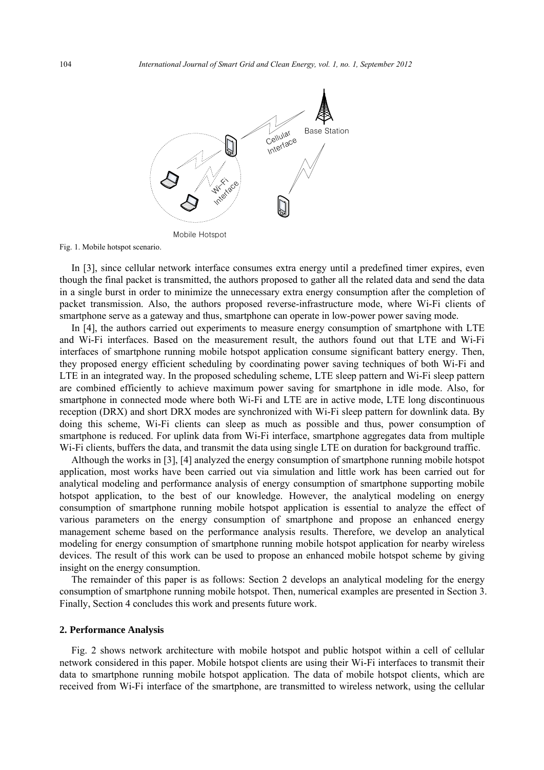

Fig. 1. Mobile hotspot scenario.

In [3], since cellular network interface consumes extra energy until a predefined timer expires, even though the final packet is transmitted, the authors proposed to gather all the related data and send the data in a single burst in order to minimize the unnecessary extra energy consumption after the completion of packet transmission. Also, the authors proposed reverse-infrastructure mode, where Wi-Fi clients of smartphone serve as a gateway and thus, smartphone can operate in low-power power saving mode.

In [4], the authors carried out experiments to measure energy consumption of smartphone with LTE and Wi-Fi interfaces. Based on the measurement result, the authors found out that LTE and Wi-Fi interfaces of smartphone running mobile hotspot application consume significant battery energy. Then, they proposed energy efficient scheduling by coordinating power saving techniques of both Wi-Fi and LTE in an integrated way. In the proposed scheduling scheme, LTE sleep pattern and Wi-Fi sleep pattern are combined efficiently to achieve maximum power saving for smartphone in idle mode. Also, for smartphone in connected mode where both Wi-Fi and LTE are in active mode, LTE long discontinuous reception (DRX) and short DRX modes are synchronized with Wi-Fi sleep pattern for downlink data. By doing this scheme, Wi-Fi clients can sleep as much as possible and thus, power consumption of smartphone is reduced. For uplink data from Wi-Fi interface, smartphone aggregates data from multiple Wi-Fi clients, buffers the data, and transmit the data using single LTE on duration for background traffic.

Although the works in [3], [4] analyzed the energy consumption of smartphone running mobile hotspot application, most works have been carried out via simulation and little work has been carried out for analytical modeling and performance analysis of energy consumption of smartphone supporting mobile hotspot application, to the best of our knowledge. However, the analytical modeling on energy consumption of smartphone running mobile hotspot application is essential to analyze the effect of various parameters on the energy consumption of smartphone and propose an enhanced energy management scheme based on the performance analysis results. Therefore, we develop an analytical modeling for energy consumption of smartphone running mobile hotspot application for nearby wireless devices. The result of this work can be used to propose an enhanced mobile hotspot scheme by giving insight on the energy consumption.

The remainder of this paper is as follows: Section 2 develops an analytical modeling for the energy consumption of smartphone running mobile hotspot. Then, numerical examples are presented in Section 3. Finally, Section 4 concludes this work and presents future work.

#### **2. Performance Analysis**

Fig. 2 shows network architecture with mobile hotspot and public hotspot within a cell of cellular network considered in this paper. Mobile hotspot clients are using their Wi-Fi interfaces to transmit their data to smartphone running mobile hotspot application. The data of mobile hotspot clients, which are received from Wi-Fi interface of the smartphone, are transmitted to wireless network, using the cellular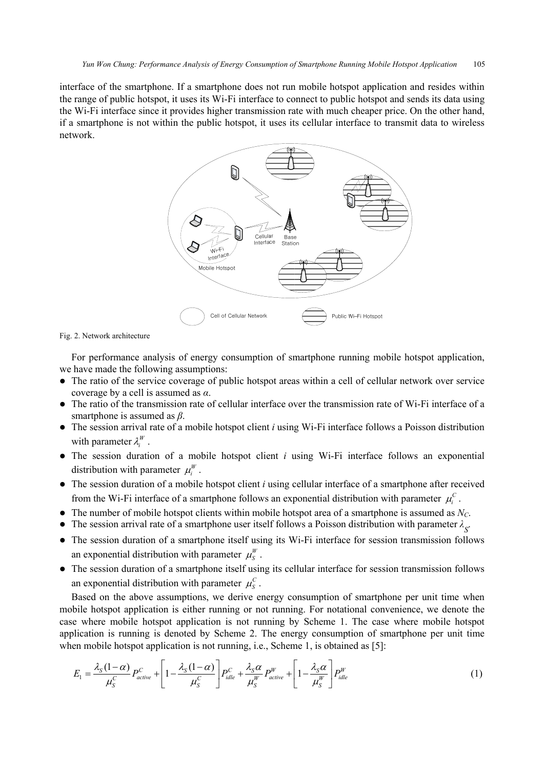interface of the smartphone. If a smartphone does not run mobile hotspot application and resides within the range of public hotspot, it uses its Wi-Fi interface to connect to public hotspot and sends its data using the Wi-Fi interface since it provides higher transmission rate with much cheaper price. On the other hand, if a smartphone is not within the public hotspot, it uses its cellular interface to transmit data to wireless network.



Fig. 2. Network architecture

For performance analysis of energy consumption of smartphone running mobile hotspot application, we have made the following assumptions:

- The ratio of the service coverage of public hotspot areas within a cell of cellular network over service coverage by a cell is assumed as *α*.
- The ratio of the transmission rate of cellular interface over the transmission rate of Wi-Fi interface of a smartphone is assumed as *β*.
- The session arrival rate of a mobile hotspot client *i* using Wi-Fi interface follows a Poisson distribution with parameter  $\lambda_i^W$ .
- The session duration of a mobile hotspot client *i* using Wi-Fi interface follows an exponential distribution with parameter  $\mu_i^W$ .
- The session duration of a mobile hotspot client *i* using cellular interface of a smartphone after received from the Wi-Fi interface of a smartphone follows an exponential distribution with parameter  $\mu_i^C$ .
- $\bullet$  The number of mobile hotspot clients within mobile hotspot area of a smartphone is assumed as  $N_C$ .
- The session arrival rate of a smartphone user itself follows a Poisson distribution with parameter  $\lambda$ <sub>S</sub>.
- The session duration of a smartphone itself using its Wi-Fi interface for session transmission follows an exponential distribution with parameter  $\mu_s^W$ .
- The session duration of a smartphone itself using its cellular interface for session transmission follows an exponential distribution with parameter  $\mu_s^C$ .

Based on the above assumptions, we derive energy consumption of smartphone per unit time when mobile hotspot application is either running or not running. For notational convenience, we denote the case where mobile hotspot application is not running by Scheme 1. The case where mobile hotspot application is running is denoted by Scheme 2. The energy consumption of smartphone per unit time when mobile hotspot application is not running, i.e., Scheme 1, is obtained as [5]:

$$
E_1 = \frac{\lambda_S (1 - \alpha)}{\mu_S^C} P_{active}^C + \left[ 1 - \frac{\lambda_S (1 - \alpha)}{\mu_S^C} \right] P_{idle}^C + \frac{\lambda_S \alpha}{\mu_S^W} P_{active}^W + \left[ 1 - \frac{\lambda_S \alpha}{\mu_S^W} \right] P_{idle}^W \tag{1}
$$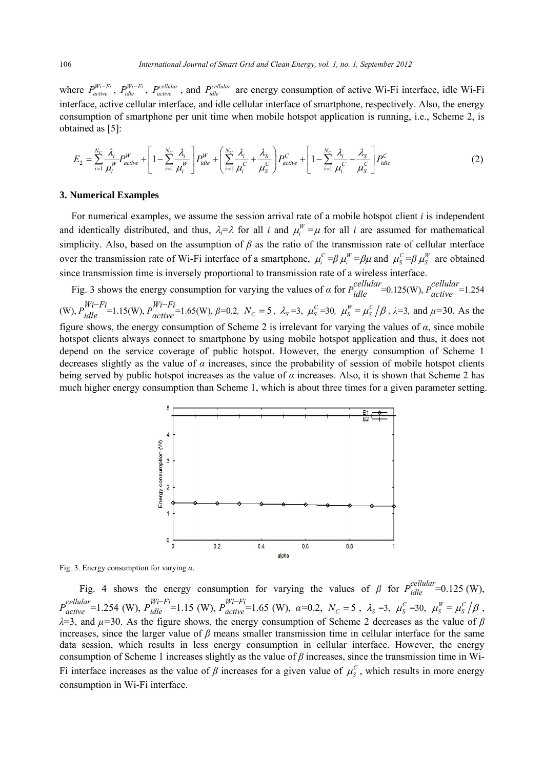where  $P_{active}^{Wi-Fi}$ ,  $P_{idle}^{Wi-Fi}$ ,  $P_{active}^{cellular}$ , and  $P_{idle}^{cellular}$  are energy consumption of active Wi-Fi interface, idle Wi-Fi interface, active cellular interface, and idle cellular interface of smartphone, respectively. Also, the energy consumption of smartphone per unit time when mobile hotspot application is running, i.e., Scheme 2, is obtained as [5]:

$$
E_2 = \sum_{i=1}^{N_C} \frac{\lambda_i}{\mu_i^W} P_{active}^W + \left[ 1 - \sum_{i=1}^{N_C} \frac{\lambda_i}{\mu_i^W} \right] P_{idle}^W + \left( \sum_{i=1}^{N_C} \frac{\lambda_i}{\mu_i^C} + \frac{\lambda_S}{\mu_S^C} \right) P_{active}^C + \left[ 1 - \sum_{i=1}^{N_C} \frac{\lambda_i}{\mu_i^C} - \frac{\lambda_S}{\mu_S^C} \right] P_{idle}^C \tag{2}
$$

#### **3. Numerical Examples**

For numerical examples, we assume the session arrival rate of a mobile hotspot client *i* is independent and identically distributed, and thus,  $\lambda_i = \lambda$  for all *i* and  $\mu_i^W = \mu$  for all *i* are assumed for mathematical simplicity. Also, based on the assumption of *β* as the ratio of the transmission rate of cellular interface over the transmission rate of Wi-Fi interface of a smartphone,  $\mu_i^C = \beta \mu_i^W = \beta \mu$  and  $\mu_s^C = \beta \mu_s^W$  are obtained since transmission time is inversely proportional to transmission rate of a wireless interface.

Fig. 3 shows the energy consumption for varying the values of *α* for  $P_{idle}^{cellular} = 0.125(W)$ ,  $P_{active}^{cellular} = 1.254$ (W),  $P_{idle}^{Wi-Fi}$  = 1.15(W),  $P_{active}^{Wi-Fi}$  = 1.65(W),  $\beta$  = 0.2,  $N_c = 5$ ,  $\lambda_s = 3$ ,  $\mu_s^c = 30$ ,  $\mu_s^w = \mu_s^c / \beta$ ,  $\lambda = 3$ , and  $\mu = 30$ . As the figure shows, the energy consumption of Scheme 2 is irrelevant for varying the values of *α*, since mobile hotspot clients always connect to smartphone by using mobile hotspot application and thus, it does not depend on the service coverage of public hotspot. However, the energy consumption of Scheme 1 decreases slightly as the value of  $\alpha$  increases, since the probability of session of mobile hotspot clients being served by public hotspot increases as the value of *α* increases. Also, it is shown that Scheme 2 has much higher energy consumption than Scheme 1, which is about three times for a given parameter setting.



Fig. 3. Energy consumption for varying *α.*

Fig. 4 shows the energy consumption for varying the values of  $\beta$  for  $P_{idle}^{cellular} = 0.125$  (W),  $P_{active}^{cellular}$ =1.254 (W),  $P_{idle}^{Wi-Fi}$ =1.15 (W),  $P_{active}^{Wi-Fi}$ =1.65 (W),  $\alpha$ =0.2,  $N_C$  =5,  $\lambda_s$  =3,  $\mu_s^C$  =30,  $\mu_s^W = \mu_s^C / \beta$ , *λ*=3, and *μ=*30. As the figure shows, the energy consumption of Scheme 2 decreases as the value of *β* increases, since the larger value of  $\beta$  means smaller transmission time in cellular interface for the same data session, which results in less energy consumption in cellular interface. However, the energy consumption of Scheme 1 increases slightly as the value of *β* increases, since the transmission time in Wi-Fi interface increases as the value of  $\beta$  increases for a given value of  $\mu_s^C$ , which results in more energy consumption in Wi-Fi interface.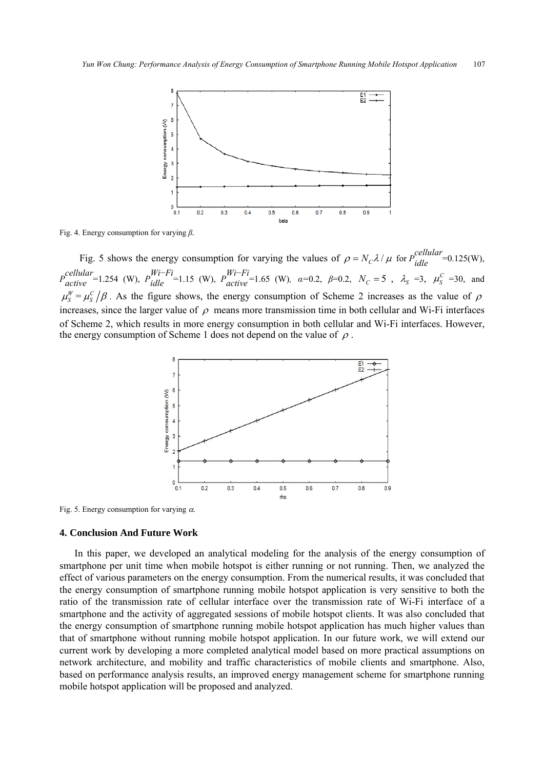

Fig. 4. Energy consumption for varying *β.*

Fig. 5 shows the energy consumption for varying the values of  $\rho = N_c \lambda / \mu$  for  $P_{idle}^{cellular} = 0.125(W)$ ,  $P_{active}^{cellular}$ =1.254 (W),  $P_{idle}^{Wi-Fi}$ =1.15 (W),  $P_{active}^{Wi-Fi}$ =1.65 (W),  $\alpha$ =0.2,  $\beta$ =0.2,  $N_C$  =5,  $\lambda_S$  =3,  $\mu_S^C$  =30, and  $\mu_s^W = \mu_s^C/\beta$ . As the figure shows, the energy consumption of Scheme 2 increases as the value of  $\rho$ increases, since the larger value of  $\rho$  means more transmission time in both cellular and Wi-Fi interfaces of Scheme 2, which results in more energy consumption in both cellular and Wi-Fi interfaces. However, the energy consumption of Scheme 1 does not depend on the value of  $\rho$ .



Fig. 5. Energy consumption for varying α*.*

### **4. Conclusion And Future Work**

In this paper, we developed an analytical modeling for the analysis of the energy consumption of smartphone per unit time when mobile hotspot is either running or not running. Then, we analyzed the effect of various parameters on the energy consumption. From the numerical results, it was concluded that the energy consumption of smartphone running mobile hotspot application is very sensitive to both the ratio of the transmission rate of cellular interface over the transmission rate of Wi-Fi interface of a smartphone and the activity of aggregated sessions of mobile hotspot clients. It was also concluded that the energy consumption of smartphone running mobile hotspot application has much higher values than that of smartphone without running mobile hotspot application. In our future work, we will extend our current work by developing a more completed analytical model based on more practical assumptions on network architecture, and mobility and traffic characteristics of mobile clients and smartphone. Also, based on performance analysis results, an improved energy management scheme for smartphone running mobile hotspot application will be proposed and analyzed.